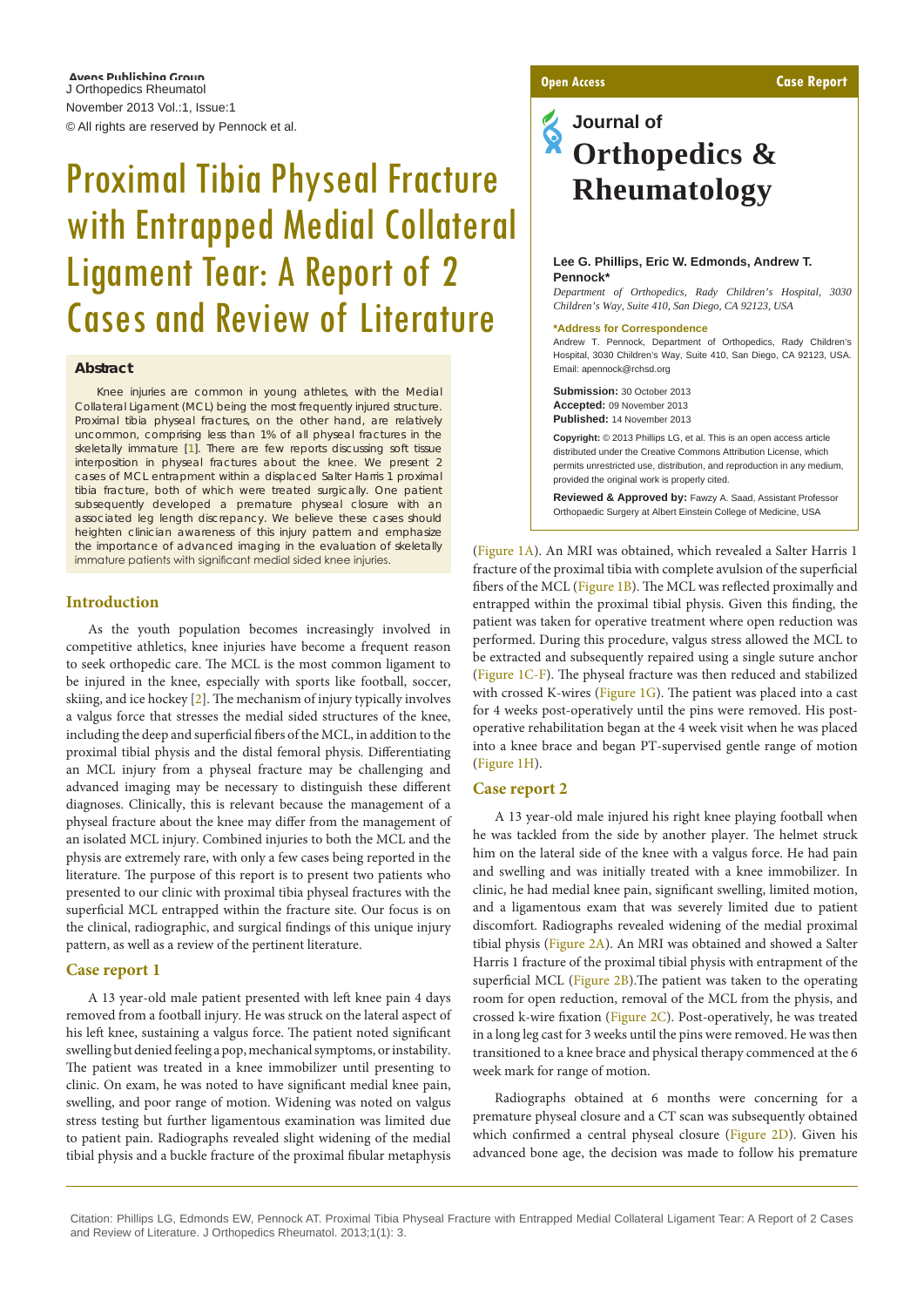Avens Publishing Group J Orthopedics Rheumatol November 2013 Vol.:1, Issue:1 © All rights are reserved by Pennock et al.

# Proximal Tibia Physeal Fracture with Entrapped Medial Collateral Ligament Tear: A Report of 2 Cases and Review of Literature

#### **Abstract**

Knee injuries are common in young athletes, with the Medial Collateral Ligament (MCL) being the most frequently injured structure. Proximal tibia physeal fractures, on the other hand, are relatively uncommon, comprising less than 1% of all physeal fractures in the skeletally immature [\[1](#page-2-0)]. There are few reports discussing soft tissue interposition in physeal fractures about the knee. We present 2 cases of MCL entrapment within a displaced Salter Harris 1 proximal tibia fracture, both of which were treated surgically. One patient subsequently developed a premature physeal closure with an associated leg length discrepancy. We believe these cases should heighten clinician awareness of this injury pattern and emphasize the importance of advanced imaging in the evaluation of skeletally immature patients with significant medial sided knee injuries.

#### **Introduction**

As the youth population becomes increasingly involved in competitive athletics, knee injuries have become a frequent reason to seek orthopedic care. The MCL is the most common ligament to be injured in the knee, especially with sports like football, soccer, skiing, and ice hockey [[2](#page-2-1)]. The mechanism of injury typically involves a valgus force that stresses the medial sided structures of the knee, including the deep and superficial fibers of the MCL, in addition to the proximal tibial physis and the distal femoral physis. Differentiating an MCL injury from a physeal fracture may be challenging and advanced imaging may be necessary to distinguish these different diagnoses. Clinically, this is relevant because the management of a physeal fracture about the knee may differ from the management of an isolated MCL injury. Combined injuries to both the MCL and the physis are extremely rare, with only a few cases being reported in the literature. The purpose of this report is to present two patients who presented to our clinic with proximal tibia physeal fractures with the superficial MCL entrapped within the fracture site. Our focus is on the clinical, radiographic, and surgical findings of this unique injury pattern, as well as a review of the pertinent literature.

#### **Case report 1**

A 13 year-old male patient presented with left knee pain 4 days removed from a football injury. He was struck on the lateral aspect of his left knee, sustaining a valgus force. The patient noted significant swelling but denied feeling a pop, mechanical symptoms, or instability. The patient was treated in a knee immobilizer until presenting to clinic. On exam, he was noted to have significant medial knee pain, swelling, and poor range of motion. Widening was noted on valgus stress testing but further ligamentous examination was limited due to patient pain. Radiographs revealed slight widening of the medial tibial physis and a buckle fracture of the proximal fibular metaphysis

## **Journal of Orthopedics & Rheumatology**

#### **Lee G. Phillips, Eric W. Edmonds, Andrew T. Pennock\***

*Department of Orthopedics, Rady Children's Hospital, 3030 Children's Way, Suite 410, San Diego, CA 92123, USA*

#### **\*Address for Correspondence**

Andrew T. Pennock, Department of Orthopedics, Rady Children's Hospital, 3030 Children's Way, Suite 410, San Diego, CA 92123, USA. Email: apennock@rchsd.org

**Submission:** 30 October 2013 **Accepted:** 09 November 2013 **Published:** 14 November 2013

**Copyright:** © 2013 Phillips LG, et al. This is an open access article distributed under the Creative Commons Attribution License, which permits unrestricted use, distribution, and reproduction in any medium, provided the original work is properly cited.

**Reviewed & Approved by:** Fawzy A. Saad, Assistant Professor Orthopaedic Surgery at Albert Einstein College of Medicine, USA

([Figure 1A](#page-1-0)). An MRI was obtained, which revealed a Salter Harris 1 fracture of the proximal tibia with complete avulsion of the superficial fibers of the MCL [\(Figure 1B](#page-1-0)). The MCL was reflected proximally and entrapped within the proximal tibial physis. Given this finding, the patient was taken for operative treatment where open reduction was performed. During this procedure, valgus stress allowed the MCL to be extracted and subsequently repaired using a single suture anchor ([Figure 1C-F\)](#page-1-0). The physeal fracture was then reduced and stabilized with crossed K-wires ( $Figure 1G$ ). The patient was placed into a cast for 4 weeks post-operatively until the pins were removed. His postoperative rehabilitation began at the 4 week visit when he was placed into a knee brace and began PT-supervised gentle range of motion ([Figure 1H](#page-1-0)).

#### **Case report 2**

A 13 year-old male injured his right knee playing football when he was tackled from the side by another player. The helmet struck him on the lateral side of the knee with a valgus force. He had pain and swelling and was initially treated with a knee immobilizer. In clinic, he had medial knee pain, significant swelling, limited motion, and a ligamentous exam that was severely limited due to patient discomfort. Radiographs revealed widening of the medial proximal tibial physis ([Figure 2A\)](#page-1-1). An MRI was obtained and showed a Salter Harris 1 fracture of the proximal tibial physis with entrapment of the superficial MCL ([Figure 2B](#page-1-1)).The patient was taken to the operating room for open reduction, removal of the MCL from the physis, and crossed k-wire fixation [\(Figure 2C](#page-1-1)). Post-operatively, he was treated in a long leg cast for 3 weeks until the pins were removed. He was then transitioned to a knee brace and physical therapy commenced at the 6 week mark for range of motion.

Radiographs obtained at 6 months were concerning for a premature physeal closure and a CT scan was subsequently obtained which confirmed a central physeal closure [\(Figure 2D](#page-1-1)). Given his advanced bone age, the decision was made to follow his premature

Citation: Phillips LG, Edmonds EW, Pennock AT. Proximal Tibia Physeal Fracture with Entrapped Medial Collateral Ligament Tear: A Report of 2 Cases and Review of Literature. J Orthopedics Rheumatol. 2013;1(1): 3.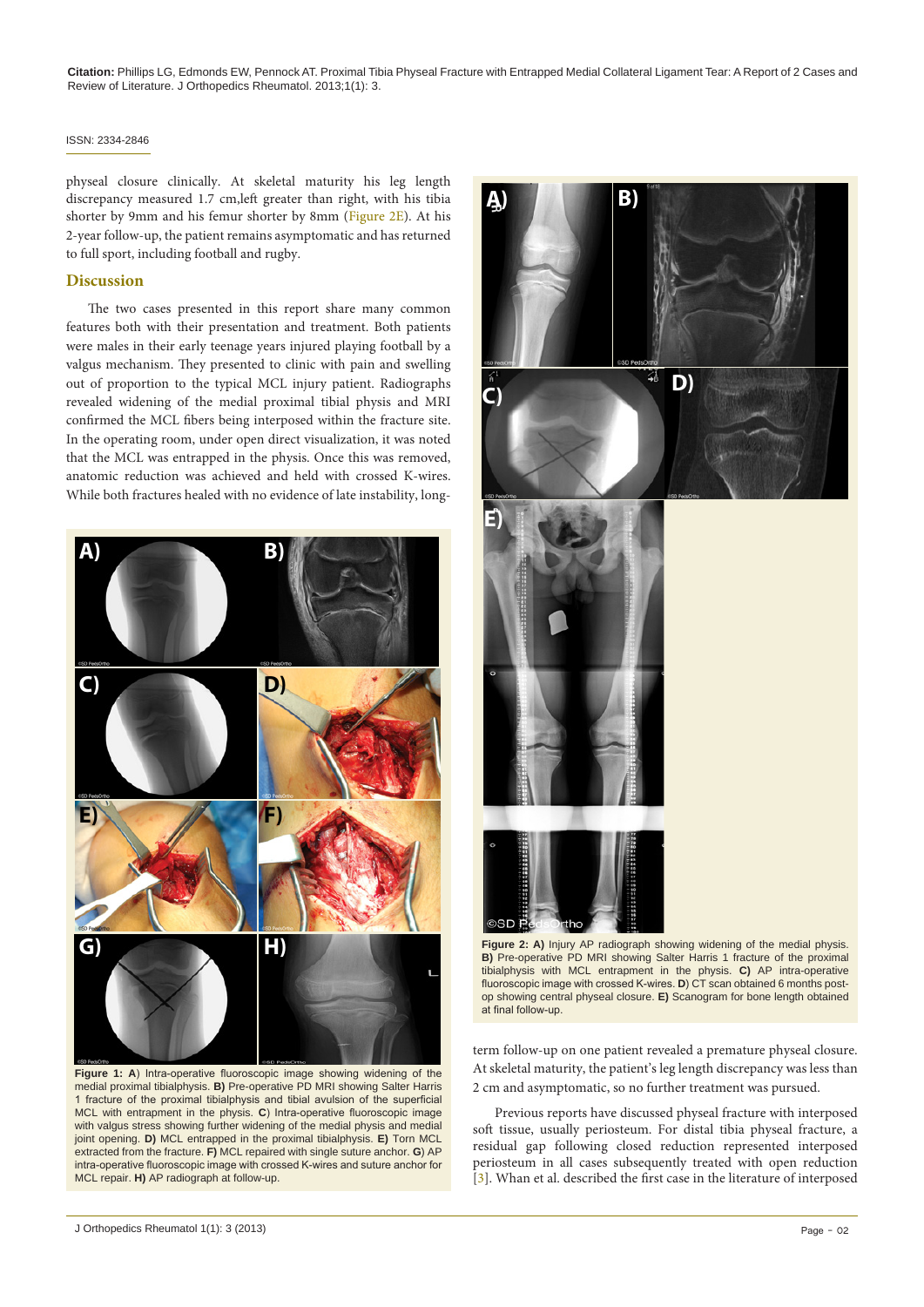**Citation:** Phillips LG, Edmonds EW, Pennock AT. Proximal Tibia Physeal Fracture with Entrapped Medial Collateral Ligament Tear: A Report of 2 Cases and Review of Literature. J Orthopedics Rheumatol. 2013;1(1): 3.

#### ISSN: 2334-2846

physeal closure clinically. At skeletal maturity his leg length discrepancy measured 1.7 cm,left greater than right, with his tibia shorter by 9mm and his femur shorter by 8mm ([Figure 2E](#page-1-1)). At his 2-year follow-up, the patient remains asymptomatic and has returned to full sport, including football and rugby.

### **Discussion**

The two cases presented in this report share many common features both with their presentation and treatment. Both patients were males in their early teenage years injured playing football by a valgus mechanism. They presented to clinic with pain and swelling out of proportion to the typical MCL injury patient. Radiographs revealed widening of the medial proximal tibial physis and MRI confirmed the MCL fibers being interposed within the fracture site. In the operating room, under open direct visualization, it was noted that the MCL was entrapped in the physis. Once this was removed, anatomic reduction was achieved and held with crossed K-wires. While both fractures healed with no evidence of late instability, long-

<span id="page-1-0"></span>

**Figure 1: A**) Intra-operative fluoroscopic image showing widening of the medial proximal tibialphysis. **B)** Pre-operative PD MRI showing Salter Harris 1 fracture of the proximal tibialphysis and tibial avulsion of the superficial MCL with entrapment in the physis. **C**) Intra-operative fluoroscopic image with valgus stress showing further widening of the medial physis and medial joint opening. **D)** MCL entrapped in the proximal tibialphysis. **E)** Torn MCL extracted from the fracture. **F)** MCL repaired with single suture anchor. **G**) AP intra-operative fluoroscopic image with crossed K-wires and suture anchor for MCL repair. **H)** AP radiograph at follow-up.

<span id="page-1-1"></span>

**B)** Pre-operative PD MRI showing Salter Harris 1 fracture of the proximal tibialphysis with MCL entrapment in the physis. **C)** AP intra-operative fluoroscopic image with crossed K-wires. **D**) CT scan obtained 6 months postop showing central physeal closure. **E)** Scanogram for bone length obtained at final follow-up.

term follow-up on one patient revealed a premature physeal closure. At skeletal maturity, the patient's leg length discrepancy was less than 2 cm and asymptomatic, so no further treatment was pursued.

Previous reports have discussed physeal fracture with interposed soft tissue, usually periosteum. For distal tibia physeal fracture, a residual gap following closed reduction represented interposed periosteum in all cases subsequently treated with open reduction [[3](#page-2-2)]. Whan et al. described the first case in the literature of interposed